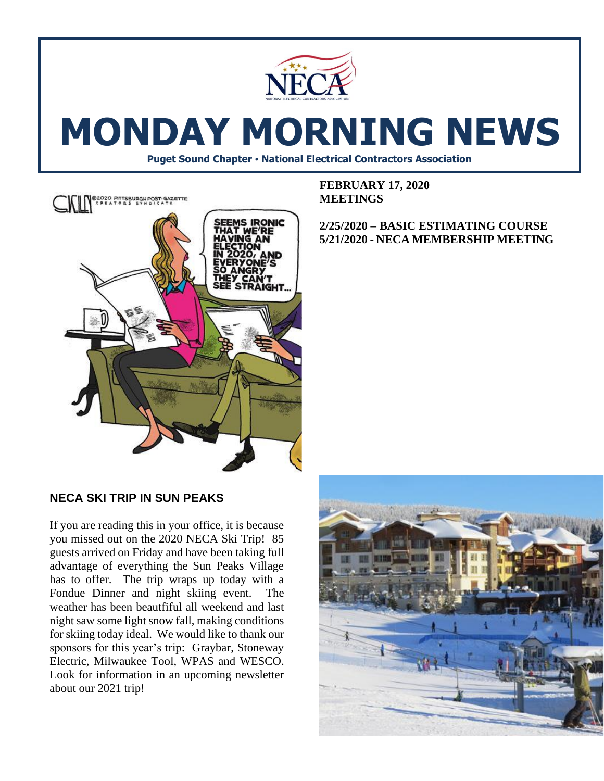

# **MONDAY MORNING NEWS**

**Puget Sound Chapter • National Electrical Contractors Association**



**FEBRUARY 17, 2020 MEETINGS**

**2/25/2020 – BASIC ESTIMATING COURSE 5/21/2020 - NECA MEMBERSHIP MEETING** 

# **NECA SKI TRIP IN SUN PEAKS**

If you are reading this in your office, it is because you missed out on the 2020 NECA Ski Trip! 85 guests arrived on Friday and have been taking full advantage of everything the Sun Peaks Village has to offer. The trip wraps up today with a Fondue Dinner and night skiing event. The weather has been beautfiful all weekend and last night saw some light snow fall, making conditions for skiing today ideal. We would like to thank our sponsors for this year's trip: Graybar, Stoneway Electric, Milwaukee Tool, WPAS and WESCO. Look for information in an upcoming newsletter about our 2021 trip!

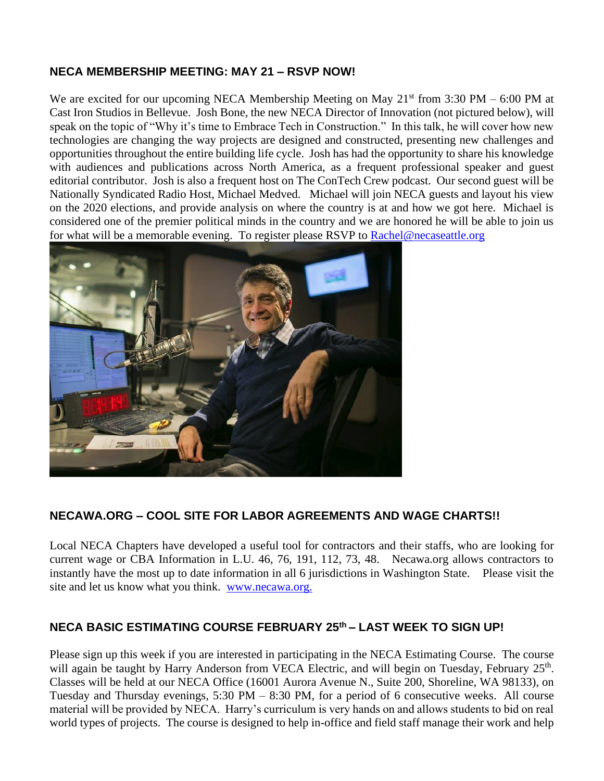#### **NECA MEMBERSHIP MEETING: MAY 21 – RSVP NOW!**

We are excited for our upcoming NECA Membership Meeting on May  $21^{st}$  from 3:30 PM – 6:00 PM at Cast Iron Studios in Bellevue. Josh Bone, the new NECA Director of Innovation (not pictured below), will speak on the topic of "Why it's time to Embrace Tech in Construction." In this talk, he will cover how new technologies are changing the way projects are designed and constructed, presenting new challenges and opportunities throughout the entire building life cycle. Josh has had the opportunity to share his knowledge with audiences and publications across North America, as a frequent professional speaker and guest editorial contributor. Josh is also a frequent host on The ConTech Crew podcast. Our second guest will be Nationally Syndicated Radio Host, Michael Medved. Michael will join NECA guests and layout his view on the 2020 elections, and provide analysis on where the country is at and how we got here. Michael is considered one of the premier political minds in the country and we are honored he will be able to join us for what will be a memorable evening. To register please RSVP to [Rachel@necaseattle.org](mailto:Rachel@necaseattle.org)



## **NECAWA.ORG – COOL SITE FOR LABOR AGREEMENTS AND WAGE CHARTS!!**

Local NECA Chapters have developed a useful tool for contractors and their staffs, who are looking for current wage or CBA Information in L.U. 46, 76, 191, 112, 73, 48. Necawa.org allows contractors to instantly have the most up to date information in all 6 jurisdictions in Washington State. Please visit the site and let us know what you think. [www.necawa.org.](http://www.necawa.org/)

#### **NECA BASIC ESTIMATING COURSE FEBRUARY 25th – LAST WEEK TO SIGN UP!**

Please sign up this week if you are interested in participating in the NECA Estimating Course. The course will again be taught by Harry Anderson from VECA Electric, and will begin on Tuesday, February 25<sup>th</sup>. Classes will be held at our NECA Office (16001 Aurora Avenue N., Suite 200, Shoreline, WA 98133), on Tuesday and Thursday evenings, 5:30 PM – 8:30 PM, for a period of 6 consecutive weeks. All course material will be provided by NECA. Harry's curriculum is very hands on and allows students to bid on real world types of projects. The course is designed to help in-office and field staff manage their work and help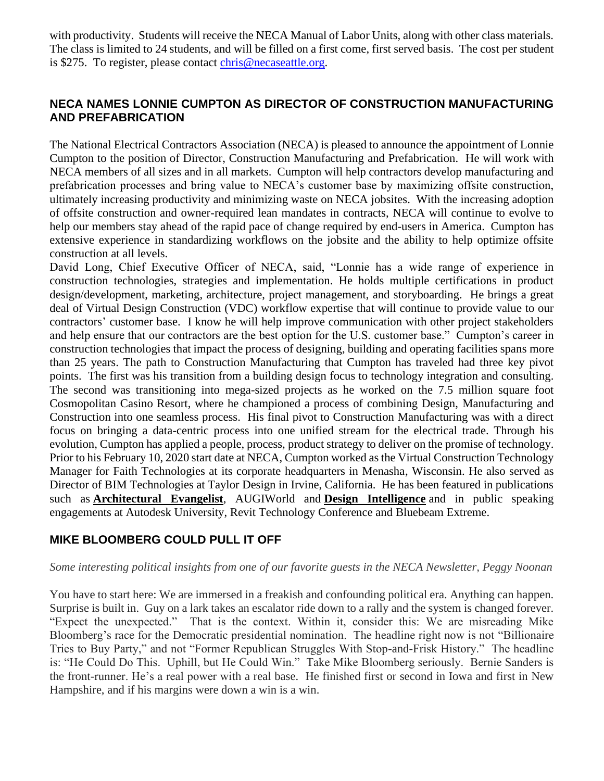with productivity. Students will receive the NECA Manual of Labor Units, along with other class materials. The class is limited to 24 students, and will be filled on a first come, first served basis. The cost per student is \$275. To register, please contact [chris@necaseattle.org.](mailto:chris@necaseattle.org)

#### **NECA NAMES LONNIE CUMPTON AS DIRECTOR OF CONSTRUCTION MANUFACTURING AND PREFABRICATION**

The National Electrical Contractors Association (NECA) is pleased to announce the appointment of Lonnie Cumpton to the position of Director, Construction Manufacturing and Prefabrication. He will work with NECA members of all sizes and in all markets. Cumpton will help contractors develop manufacturing and prefabrication processes and bring value to NECA's customer base by maximizing offsite construction, ultimately increasing productivity and minimizing waste on NECA jobsites. With the increasing adoption of offsite construction and owner-required lean mandates in contracts, NECA will continue to evolve to help our members stay ahead of the rapid pace of change required by end-users in America. Cumpton has extensive experience in standardizing workflows on the jobsite and the ability to help optimize offsite construction at all levels.

David Long, Chief Executive Officer of NECA, said, "Lonnie has a wide range of experience in construction technologies, strategies and implementation. He holds multiple certifications in product design/development, marketing, architecture, project management, and storyboarding. He brings a great deal of Virtual Design Construction (VDC) workflow expertise that will continue to provide value to our contractors' customer base. I know he will help improve communication with other project stakeholders and help ensure that our contractors are the best option for the U.S. customer base." Cumpton's career in construction technologies that impact the process of designing, building and operating facilities spans more than 25 years. The path to Construction Manufacturing that Cumpton has traveled had three key pivot points. The first was his transition from a building design focus to technology integration and consulting. The second was transitioning into mega-sized projects as he worked on the 7.5 million square foot Cosmopolitan Casino Resort, where he championed a process of combining Design, Manufacturing and Construction into one seamless process. His final pivot to Construction Manufacturing was with a direct focus on bringing a data-centric process into one unified stream for the electrical trade. Through his evolution, Cumpton has applied a people, process, product strategy to deliver on the promise of technology. Prior to his February 10, 2020 start date at NECA, Cumpton worked as the Virtual Construction Technology Manager for Faith Technologies at its corporate headquarters in Menasha, Wisconsin. He also served as Director of BIM Technologies at Taylor Design in Irvine, California. He has been featured in publications such as **[Architectural Evangelist](http://www.architecturalevangelist.com/)**, AUGIWorld and **[Design Intelligence](http://www.di.net/)** and in public speaking engagements at Autodesk University, Revit Technology Conference and Bluebeam Extreme.

## **MIKE BLOOMBERG COULD PULL IT OFF**

#### *Some interesting political insights from one of our favorite guests in the NECA Newsletter, Peggy Noonan*

You have to start here: We are immersed in a freakish and confounding political era. Anything can happen. Surprise is built in. Guy on a lark takes an escalator ride down to a rally and the system is changed forever. "Expect the unexpected." That is the context. Within it, consider this: We are misreading Mike Bloomberg's race for the Democratic presidential nomination. The headline right now is not "Billionaire Tries to Buy Party," and not "Former Republican Struggles With Stop-and-Frisk History." The headline is: "He Could Do This. Uphill, but He Could Win." Take Mike Bloomberg seriously. Bernie Sanders is the front-runner. He's a real power with a real base. He finished first or second in Iowa and first in New Hampshire, and if his margins were down a win is a win.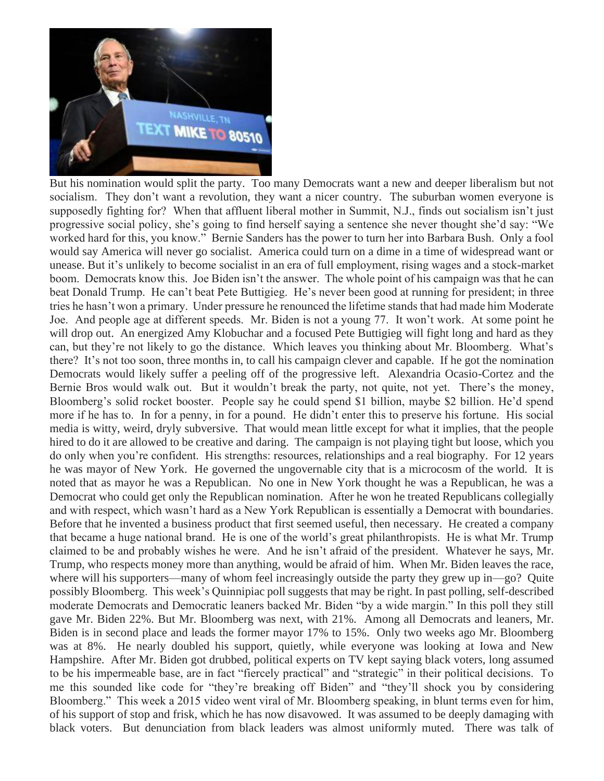

But his nomination would split the party. Too many Democrats want a new and deeper liberalism but not socialism. They don't want a revolution, they want a nicer country. The suburban women everyone is supposedly fighting for? When that affluent liberal mother in Summit, N.J., finds out socialism isn't just progressive social policy, she's going to find herself saying a sentence she never thought she'd say: "We worked hard for this, you know." Bernie Sanders has the power to turn her into Barbara Bush. Only a fool would say America will never go socialist. America could turn on a dime in a time of widespread want or unease. But it's unlikely to become socialist in an era of full employment, rising wages and a stock-market boom. Democrats know this. Joe Biden isn't the answer. The whole point of his campaign was that he can beat Donald Trump. He can't beat Pete Buttigieg. He's never been good at running for president; in three tries he hasn't won a primary. Under pressure he renounced the lifetime stands that had made him Moderate Joe. And people age at different speeds. Mr. Biden is not a young 77. It won't work. At some point he will drop out. An energized Amy Klobuchar and a focused Pete Buttigieg will fight long and hard as they can, but they're not likely to go the distance. Which leaves you thinking about Mr. Bloomberg. What's there? It's not too soon, three months in, to call his campaign clever and capable. If he got the nomination Democrats would likely suffer a peeling off of the progressive left. Alexandria Ocasio-Cortez and the Bernie Bros would walk out. But it wouldn't break the party, not quite, not yet. There's the money, Bloomberg's solid rocket booster. People say he could spend \$1 billion, maybe \$2 billion. He'd spend more if he has to. In for a penny, in for a pound. He didn't enter this to preserve his fortune. His social media is witty, weird, dryly subversive. That would mean little except for what it implies, that the people hired to do it are allowed to be creative and daring. The campaign is not playing tight but loose, which you do only when you're confident. His strengths: resources, relationships and a real biography. For 12 years he was mayor of New York. He governed the ungovernable city that is a microcosm of the world. It is noted that as mayor he was a Republican. No one in New York thought he was a Republican, he was a Democrat who could get only the Republican nomination. After he won he treated Republicans collegially and with respect, which wasn't hard as a New York Republican is essentially a Democrat with boundaries. Before that he invented a business product that first seemed useful, then necessary. He created a company that became a huge national brand. He is one of the world's great philanthropists. He is what Mr. Trump claimed to be and probably wishes he were. And he isn't afraid of the president. Whatever he says, Mr. Trump, who respects money more than anything, would be afraid of him. When Mr. Biden leaves the race, where will his supporters—many of whom feel increasingly outside the party they grew up in—go? Quite possibly Bloomberg. This week's Quinnipiac poll suggests that may be right. In past polling, self-described moderate Democrats and Democratic leaners backed Mr. Biden "by a wide margin." In this poll they still gave Mr. Biden 22%. But Mr. Bloomberg was next, with 21%. Among all Democrats and leaners, Mr. Biden is in second place and leads the former mayor 17% to 15%. Only two weeks ago Mr. Bloomberg was at 8%. He nearly doubled his support, quietly, while everyone was looking at Iowa and New Hampshire. After Mr. Biden got drubbed, political experts on TV kept saying black voters, long assumed to be his impermeable base, are in fact "fiercely practical" and "strategic" in their political decisions. To me this sounded like code for "they're breaking off Biden" and "they'll shock you by considering Bloomberg." This week a 2015 video went viral of Mr. Bloomberg speaking, in blunt terms even for him, of his support of stop and frisk, which he has now disavowed. It was assumed to be deeply damaging with black voters. But denunciation from black leaders was almost uniformly muted. There was talk of